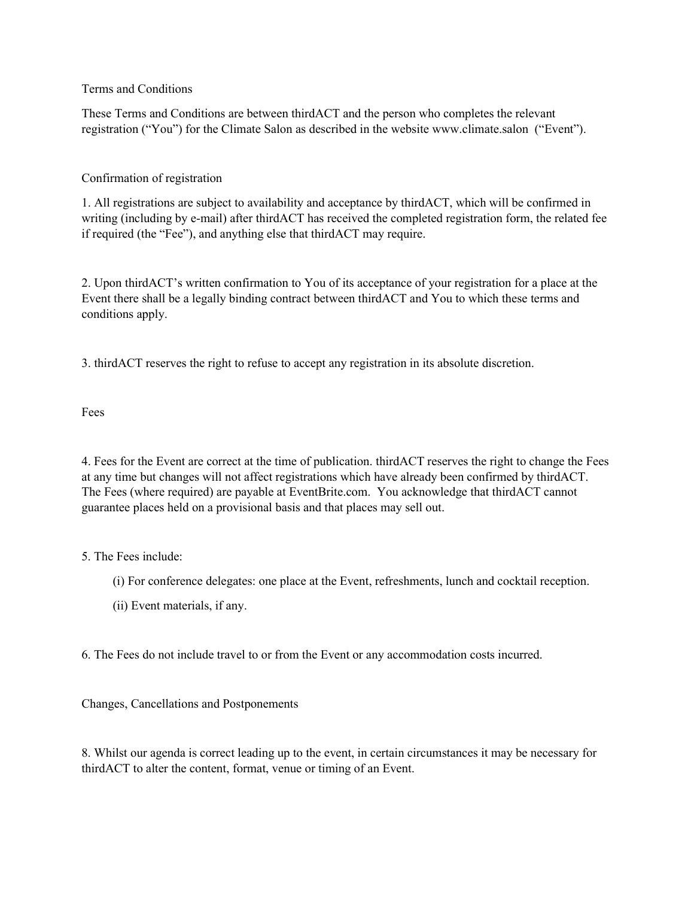Terms and Conditions

These Terms and Conditions are between thirdACT and the person who completes the relevant registration ("You") for the Climate Salon as described in the website www.climate.salon ("Event").

## Confirmation of registration

1. All registrations are subject to availability and acceptance by thirdACT, which will be confirmed in writing (including by e-mail) after thirdACT has received the completed registration form, the related fee if required (the "Fee"), and anything else that thirdACT may require.

2. Upon thirdACT's written confirmation to You of its acceptance of your registration for a place at the Event there shall be a legally binding contract between thirdACT and You to which these terms and conditions apply.

3. thirdACT reserves the right to refuse to accept any registration in its absolute discretion.

Fees

4. Fees for the Event are correct at the time of publication. thirdACT reserves the right to change the Fees at any time but changes will not affect registrations which have already been confirmed by thirdACT. The Fees (where required) are payable at EventBrite.com. You acknowledge that thirdACT cannot guarantee places held on a provisional basis and that places may sell out.

## 5. The Fees include:

- (i) For conference delegates: one place at the Event, refreshments, lunch and cocktail reception.
- (ii) Event materials, if any.

6. The Fees do not include travel to or from the Event or any accommodation costs incurred.

## Changes, Cancellations and Postponements

8. Whilst our agenda is correct leading up to the event, in certain circumstances it may be necessary for thirdACT to alter the content, format, venue or timing of an Event.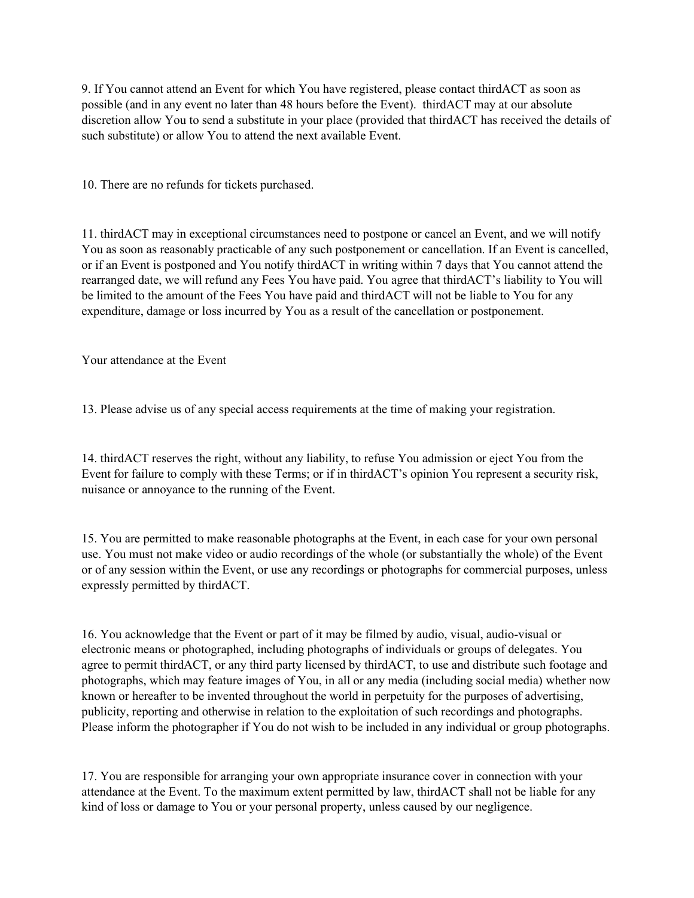9. If You cannot attend an Event for which You have registered, please contact thirdACT as soon as possible (and in any event no later than 48 hours before the Event). thirdACT may at our absolute discretion allow You to send a substitute in your place (provided that thirdACT has received the details of such substitute) or allow You to attend the next available Event.

10. There are no refunds for tickets purchased.

11. thirdACT may in exceptional circumstances need to postpone or cancel an Event, and we will notify You as soon as reasonably practicable of any such postponement or cancellation. If an Event is cancelled, or if an Event is postponed and You notify thirdACT in writing within 7 days that You cannot attend the rearranged date, we will refund any Fees You have paid. You agree that thirdACT's liability to You will be limited to the amount of the Fees You have paid and thirdACT will not be liable to You for any expenditure, damage or loss incurred by You as a result of the cancellation or postponement.

Your attendance at the Event

13. Please advise us of any special access requirements at the time of making your registration.

14. thirdACT reserves the right, without any liability, to refuse You admission or eject You from the Event for failure to comply with these Terms; or if in thirdACT's opinion You represent a security risk, nuisance or annoyance to the running of the Event.

15. You are permitted to make reasonable photographs at the Event, in each case for your own personal use. You must not make video or audio recordings of the whole (or substantially the whole) of the Event or of any session within the Event, or use any recordings or photographs for commercial purposes, unless expressly permitted by thirdACT.

16. You acknowledge that the Event or part of it may be filmed by audio, visual, audio-visual or electronic means or photographed, including photographs of individuals or groups of delegates. You agree to permit thirdACT, or any third party licensed by thirdACT, to use and distribute such footage and photographs, which may feature images of You, in all or any media (including social media) whether now known or hereafter to be invented throughout the world in perpetuity for the purposes of advertising, publicity, reporting and otherwise in relation to the exploitation of such recordings and photographs. Please inform the photographer if You do not wish to be included in any individual or group photographs.

17. You are responsible for arranging your own appropriate insurance cover in connection with your attendance at the Event. To the maximum extent permitted by law, thirdACT shall not be liable for any kind of loss or damage to You or your personal property, unless caused by our negligence.